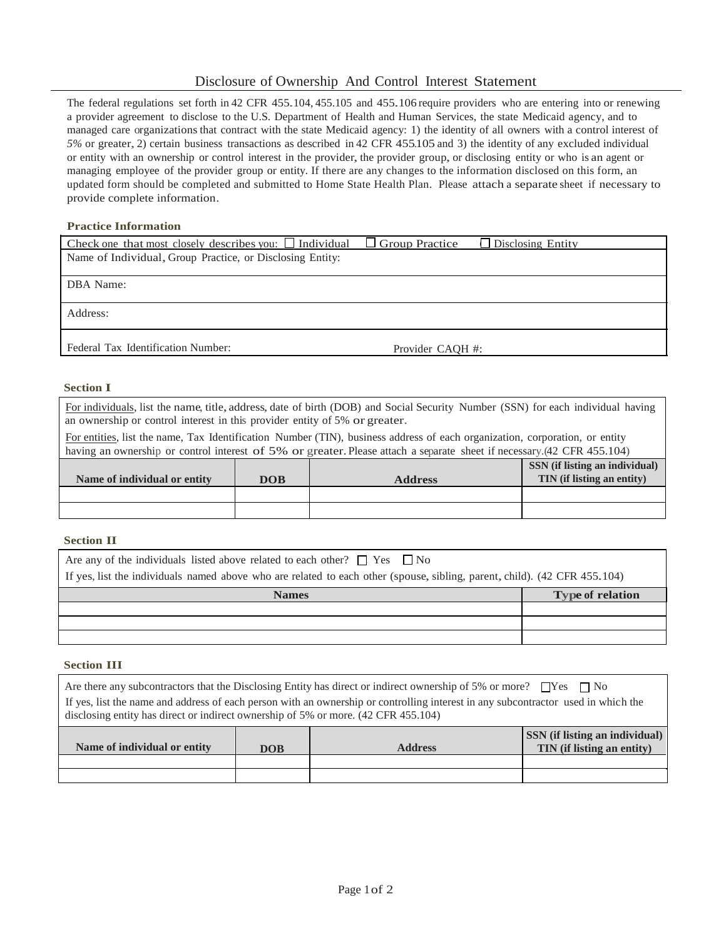# Disclosure of Ownership And Control Interest Statement

The federal regulations set forth in <sup>42</sup> CFR 455.104, 455.105 and 455.106 require providers who are entering into or renewing a provider agreement to disclose to the U.S. Department of Health and Human Services, the state Medicaid agency, and to managed care organizations that contract with the state Medicaid agency: 1) the identity of all owners with a control interest of *5%* or greater, 2) certain business transactions as described in <sup>42</sup> CFR 455.105 and 3) the identity of any excluded individual or entity with an ownership or control interest in the provider, the provider group, or disclosing entity or who is an agent or managing employee of the provider group or entity. If there are any changes to the information disclosed on this form, an updated form should be completed and submitted to Home State Health Plan. Please attach a separate sheet if necessary to provide complete information.

# **Practice Information**

| Check one that most closely describes you: $\Box$ Individual | $\Box$ Group Practice | $\Box$ Disclosing Entity |
|--------------------------------------------------------------|-----------------------|--------------------------|
| Name of Individual, Group Practice, or Disclosing Entity:    |                       |                          |
|                                                              |                       |                          |
| DBA Name:                                                    |                       |                          |
|                                                              |                       |                          |
| Address:                                                     |                       |                          |
|                                                              |                       |                          |
|                                                              |                       |                          |
| Federal Tax Identification Number:                           | Provider CAOH #:      |                          |

## **Section I**

For individuals, list the name, title, address, date of birth (DOB) and Social Security Number (SSN) for each individual having an ownership or control interest in this provider entity of 5% or greater.

For entities, list the name, Tax Identification Number (TIN), business address of each organization, corporation, or entity having an ownership or control interest of 5% or greater. Please attach a separate sheet if necessary.(42 CFR 455.104)

| Name of individual or entity | DOB | <b>Address</b> | SSN (if listing an individual)<br>TIN (if listing an entity) |
|------------------------------|-----|----------------|--------------------------------------------------------------|
|                              |     |                |                                                              |
|                              |     |                |                                                              |

#### **Section II**

| Are any of the individuals listed above related to each other? $\Box$ Yes $\Box$ No<br>If yes, list the individuals named above who are related to each other (spouse, sibling, parent, child). (42 CFR 455.104) |                         |  |  |
|------------------------------------------------------------------------------------------------------------------------------------------------------------------------------------------------------------------|-------------------------|--|--|
| <b>Names</b>                                                                                                                                                                                                     | <b>Type of relation</b> |  |  |
|                                                                                                                                                                                                                  |                         |  |  |
|                                                                                                                                                                                                                  |                         |  |  |
|                                                                                                                                                                                                                  |                         |  |  |

#### **Section III**

| Are there any subcontractors that the Disclosing Entity has direct or indirect ownership of 5% or more? $\Box$ Yes $\Box$ No                                                                                            |  |
|-------------------------------------------------------------------------------------------------------------------------------------------------------------------------------------------------------------------------|--|
| If yes, list the name and address of each person with an ownership or controlling interest in any subcontractor used in which the<br>disclosing entity has direct or indirect ownership of 5% or more. (42 CFR 455.104) |  |
|                                                                                                                                                                                                                         |  |

| Name of individual or entity | <b>DOB</b> | <b>Address</b> | <b>SSN</b> (if listing an individual)<br>TIN (if listing an entity) |
|------------------------------|------------|----------------|---------------------------------------------------------------------|
|                              |            |                |                                                                     |
|                              |            |                |                                                                     |